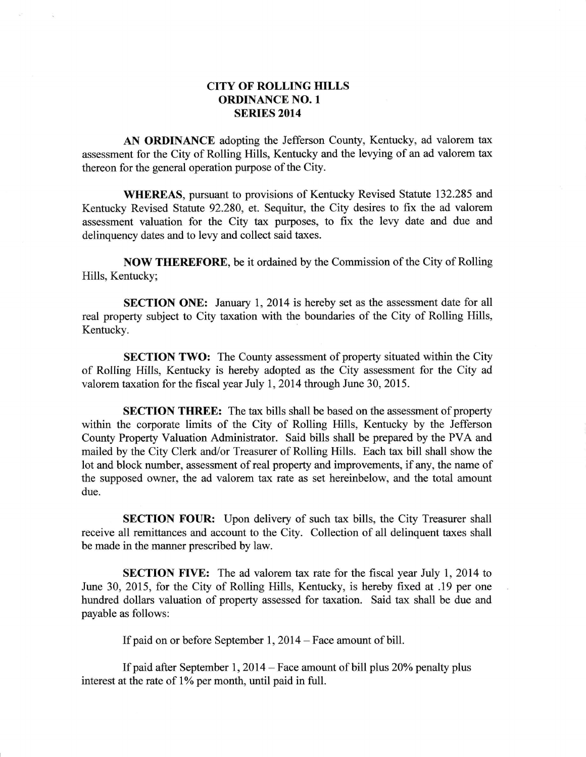## CITY OF ROLLING HILLS ORDINANCE NO. <sup>1</sup> SERIES 2014

AN ORDINANCE adopting the Jefferson County, Kentucky, ad valorem tax assessment for the City of Rolling Hills, Kentucky and the levying of an ad valorem tax thereon for the general operation purpose of the City.

WHEREAS, pursuant to provisions of Kentucky Revised Statute 132.285 and Kentucky Revised Statute 92.280, et. Sequitur, the City desires to fix the ad valorem assessment valuation for the City tax purposes, to fix the levy date and due and delinquency dates and to levy and collect said taxes.

NOW THEREFORE, be it ordained by the Commission of the City of Rolling Hills, Kentucky;

**SECTION ONE:** January 1, 2014 is hereby set as the assessment date for all real property subject to City taxation with the boundaries of the City of Rolling Hills, Kentucky.

SECTION TWO: The County assessment of property situated within the City of Rolling Hills, Kentucky is hereby adopted as the City assessment for the City ad valorem taxation for the fiscal year July 1,2014 through June 30, 2015.

SECTION THREE: The tax bills shall be based on the assessment of property within the corporate limits of the City of Rolling Hills, Kentucky by the Jefferson County Property Valuation Administrator. Said bil1s shall be prepared by the PVA and mailed by the City Clerk and/or Treasurer of Rolling Hills. Each tax bill shall show the lot and block number, assessment of real property and improvements, if any, the name of the supposed owner, the ad valorem tax rate as set hereinbelow, and the total amount due.

SECTION FOUR: Upon delivery of such tax bills, the City Treasurer shall receive all remitiances and account to the City. Collection of all delinquent taxes shall be made in the manner prescribed by law.

SECTION FIVE: The ad valorem tax rate for the fiscal year July 1, 2014 to June 30, 2015, for the City of Rolling Hills, Kentucky, is hereby fixed at .19 per one hundred dollars valuation of property assessed for taxation. Said tax shall be due and payable as follows:

If paid on or before September 1, 2014 – Face amount of bill.

If paid after September 1, 2014 - Face amount of bill plus 20% penalty plus interest at the rate of 1% per month, until paid in full.